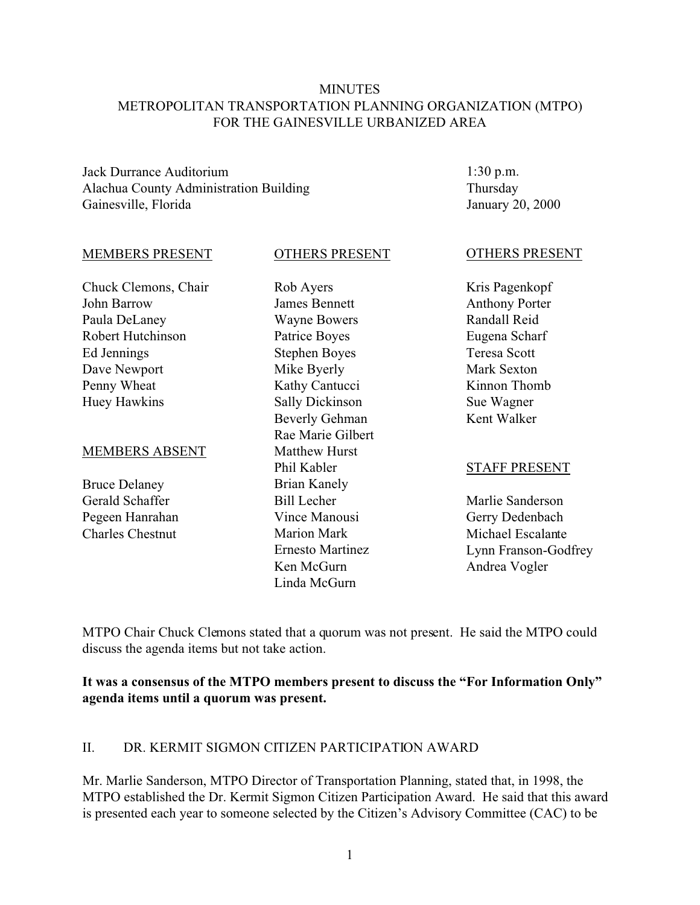#### **MINUTES** METROPOLITAN TRANSPORTATION PLANNING ORGANIZATION (MTPO) FOR THE GAINESVILLE URBANIZED AREA

Jack Durrance Auditorium Alachua County Administration Building Gainesville, Florida

1:30 p.m. Thursday January 20, 2000

#### MEMBERS PRESENT

Chuck Clemons, Chair John Barrow Paula DeLaney Robert Hutchinson Ed Jennings Dave Newport Penny Wheat Huey Hawkins

#### MEMBERS ABSENT

Bruce Delaney Gerald Schaffer Pegeen Hanrahan Charles Chestnut

James Bennett Wayne Bowers Patrice Boyes Stephen Boyes Mike Byerly Kathy Cantucci Sally Dickinson Beverly Gehman Rae Marie Gilbert Matthew Hurst Phil Kabler Brian Kanely Bill Lecher Vince Manousi Marion Mark Ernesto Martinez Ken McGurn Linda McGurn

OTHERS PRESENT

Rob Ayers

#### OTHERS PRESENT

Kris Pagenkopf Anthony Porter Randall Reid Eugena Scharf Teresa Scott Mark Sexton Kinnon Thomb Sue Wagner Kent Walker

#### STAFF PRESENT

Marlie Sanderson Gerry Dedenbach Michael Escalante Lynn Franson-Godfrey Andrea Vogler

MTPO Chair Chuck Clemons stated that a quorum was not present. He said the MTPO could discuss the agenda items but not take action.

**It was a consensus of the MTPO members present to discuss the "For Information Only" agenda items until a quorum was present.**

#### II. DR. KERMIT SIGMON CITIZEN PARTICIPATION AWARD

Mr. Marlie Sanderson, MTPO Director of Transportation Planning, stated that, in 1998, the MTPO established the Dr. Kermit Sigmon Citizen Participation Award. He said that this award is presented each year to someone selected by the Citizen's Advisory Committee (CAC) to be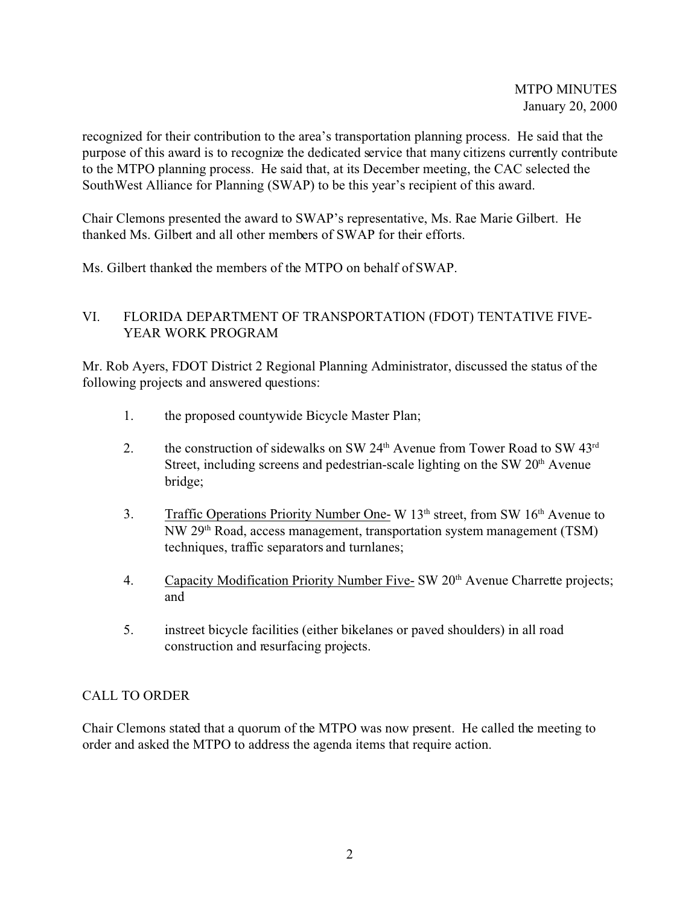recognized for their contribution to the area's transportation planning process. He said that the purpose of this award is to recognize the dedicated service that many citizens currently contribute to the MTPO planning process. He said that, at its December meeting, the CAC selected the SouthWest Alliance for Planning (SWAP) to be this year's recipient of this award.

Chair Clemons presented the award to SWAP's representative, Ms. Rae Marie Gilbert. He thanked Ms. Gilbert and all other members of SWAP for their efforts.

Ms. Gilbert thanked the members of the MTPO on behalf of SWAP.

### VI. FLORIDA DEPARTMENT OF TRANSPORTATION (FDOT) TENTATIVE FIVE-YEAR WORK PROGRAM

Mr. Rob Ayers, FDOT District 2 Regional Planning Administrator, discussed the status of the following projects and answered questions:

- 1. the proposed countywide Bicycle Master Plan;
- 2. the construction of sidewalks on SW  $24<sup>th</sup>$  Avenue from Tower Road to SW  $43<sup>rd</sup>$ Street, including screens and pedestrian-scale lighting on the SW 20<sup>th</sup> Avenue bridge;
- 3. Traffic Operations Priority Number One- W  $13<sup>th</sup>$  street, from SW  $16<sup>th</sup>$  Avenue to NW 29th Road, access management, transportation system management (TSM) techniques, traffic separators and turnlanes;
- 4. Capacity Modification Priority Number Five- SW 20<sup>th</sup> Avenue Charrette projects; and
- 5. instreet bicycle facilities (either bikelanes or paved shoulders) in all road construction and resurfacing projects.

# CALL TO ORDER

Chair Clemons stated that a quorum of the MTPO was now present. He called the meeting to order and asked the MTPO to address the agenda items that require action.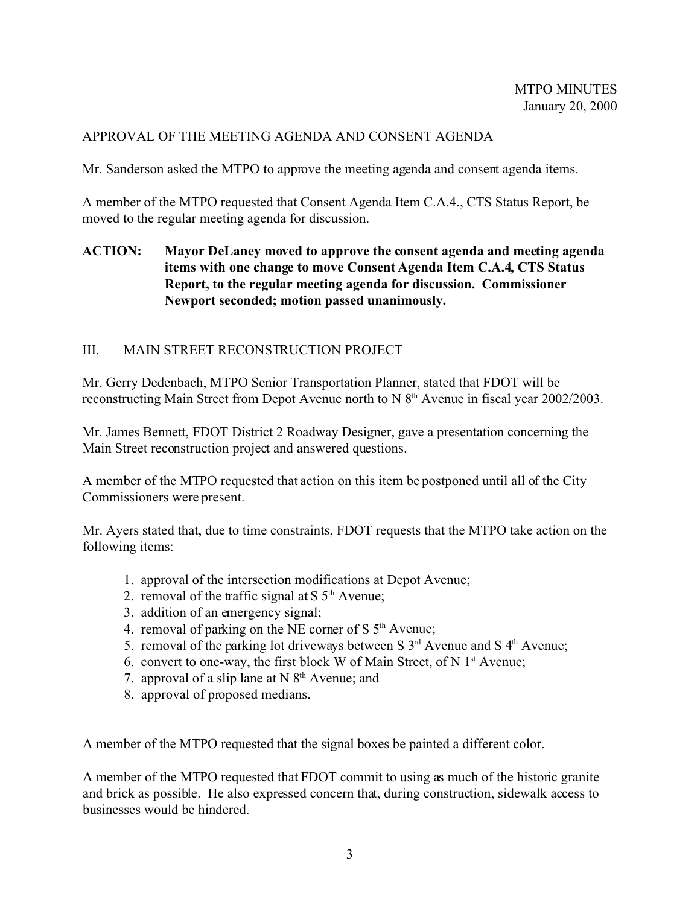## APPROVAL OF THE MEETING AGENDA AND CONSENT AGENDA

Mr. Sanderson asked the MTPO to approve the meeting agenda and consent agenda items.

A member of the MTPO requested that Consent Agenda Item C.A.4., CTS Status Report, be moved to the regular meeting agenda for discussion.

## **ACTION: Mayor DeLaney moved to approve the consent agenda and meeting agenda items with one change to move Consent Agenda Item C.A.4, CTS Status Report, to the regular meeting agenda for discussion. Commissioner Newport seconded; motion passed unanimously.**

## III. MAIN STREET RECONSTRUCTION PROJECT

Mr. Gerry Dedenbach, MTPO Senior Transportation Planner, stated that FDOT will be reconstructing Main Street from Depot Avenue north to N 8<sup>th</sup> Avenue in fiscal year 2002/2003.

Mr. James Bennett, FDOT District 2 Roadway Designer, gave a presentation concerning the Main Street reconstruction project and answered questions.

A member of the MTPO requested that action on this item be postponed until all of the City Commissioners were present.

Mr. Ayers stated that, due to time constraints, FDOT requests that the MTPO take action on the following items:

- 1. approval of the intersection modifications at Depot Avenue;
- 2. removal of the traffic signal at  $S$  5<sup>th</sup> Avenue;
- 3. addition of an emergency signal;
- 4. removal of parking on the NE corner of S 5<sup>th</sup> Avenue:
- 5. removal of the parking lot driveways between S  $3<sup>rd</sup>$  Avenue and S  $4<sup>th</sup>$  Avenue;
- 6. convert to one-way, the first block W of Main Street, of N  $1<sup>st</sup>$  Avenue;
- 7. approval of a slip lane at  $N 8<sup>th</sup>$  Avenue; and
- 8. approval of proposed medians.

A member of the MTPO requested that the signal boxes be painted a different color.

A member of the MTPO requested that FDOT commit to using as much of the historic granite and brick as possible. He also expressed concern that, during construction, sidewalk access to businesses would be hindered.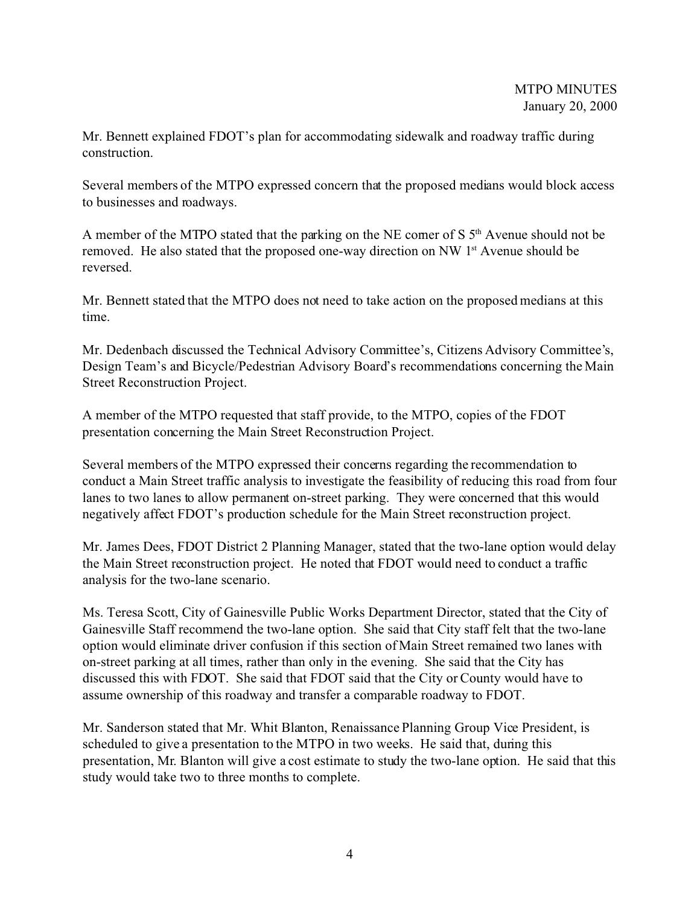Mr. Bennett explained FDOT's plan for accommodating sidewalk and roadway traffic during construction.

Several members of the MTPO expressed concern that the proposed medians would block access to businesses and roadways.

A member of the MTPO stated that the parking on the NE corner of S  $5<sup>th</sup>$  Avenue should not be removed. He also stated that the proposed one-way direction on NW 1<sup>st</sup> Avenue should be reversed.

Mr. Bennett stated that the MTPO does not need to take action on the proposed medians at this time.

Mr. Dedenbach discussed the Technical Advisory Committee's, Citizens Advisory Committee's, Design Team's and Bicycle/Pedestrian Advisory Board's recommendations concerning the Main Street Reconstruction Project.

A member of the MTPO requested that staff provide, to the MTPO, copies of the FDOT presentation concerning the Main Street Reconstruction Project.

Several members of the MTPO expressed their concerns regarding the recommendation to conduct a Main Street traffic analysis to investigate the feasibility of reducing this road from four lanes to two lanes to allow permanent on-street parking. They were concerned that this would negatively affect FDOT's production schedule for the Main Street reconstruction project.

Mr. James Dees, FDOT District 2 Planning Manager, stated that the two-lane option would delay the Main Street reconstruction project. He noted that FDOT would need to conduct a traffic analysis for the two-lane scenario.

Ms. Teresa Scott, City of Gainesville Public Works Department Director, stated that the City of Gainesville Staff recommend the two-lane option. She said that City staff felt that the two-lane option would eliminate driver confusion if this section of Main Street remained two lanes with on-street parking at all times, rather than only in the evening. She said that the City has discussed this with FDOT. She said that FDOT said that the City or County would have to assume ownership of this roadway and transfer a comparable roadway to FDOT.

Mr. Sanderson stated that Mr. Whit Blanton, Renaissance Planning Group Vice President, is scheduled to give a presentation to the MTPO in two weeks. He said that, during this presentation, Mr. Blanton will give a cost estimate to study the two-lane option. He said that this study would take two to three months to complete.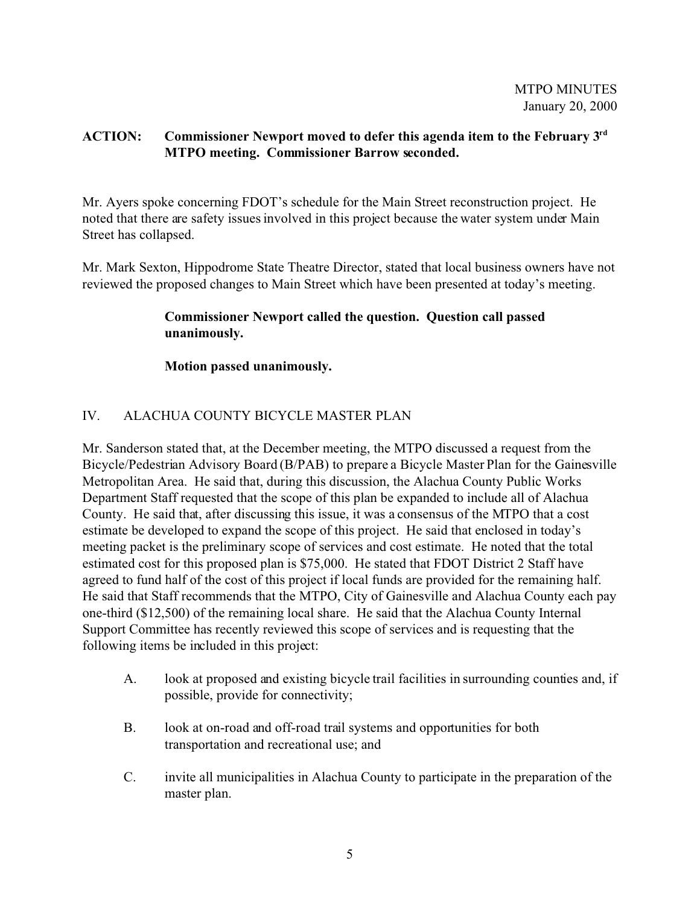### **ACTION: Commissioner Newport moved to defer this agenda item to the February 3rd MTPO meeting. Commissioner Barrow seconded.**

Mr. Ayers spoke concerning FDOT's schedule for the Main Street reconstruction project. He noted that there are safety issues involved in this project because the water system under Main Street has collapsed.

Mr. Mark Sexton, Hippodrome State Theatre Director, stated that local business owners have not reviewed the proposed changes to Main Street which have been presented at today's meeting.

## **Commissioner Newport called the question. Question call passed unanimously.**

**Motion passed unanimously.**

# IV. ALACHUA COUNTY BICYCLE MASTER PLAN

Mr. Sanderson stated that, at the December meeting, the MTPO discussed a request from the Bicycle/Pedestrian Advisory Board (B/PAB) to prepare a Bicycle Master Plan for the Gainesville Metropolitan Area. He said that, during this discussion, the Alachua County Public Works Department Staff requested that the scope of this plan be expanded to include all of Alachua County. He said that, after discussing this issue, it was a consensus of the MTPO that a cost estimate be developed to expand the scope of this project. He said that enclosed in today's meeting packet is the preliminary scope of services and cost estimate. He noted that the total estimated cost for this proposed plan is \$75,000. He stated that FDOT District 2 Staff have agreed to fund half of the cost of this project if local funds are provided for the remaining half. He said that Staff recommends that the MTPO, City of Gainesville and Alachua County each pay one-third (\$12,500) of the remaining local share. He said that the Alachua County Internal Support Committee has recently reviewed this scope of services and is requesting that the following items be included in this project:

- A. look at proposed and existing bicycle trail facilities in surrounding counties and, if possible, provide for connectivity;
- B. look at on-road and off-road trail systems and opportunities for both transportation and recreational use; and
- C. invite all municipalities in Alachua County to participate in the preparation of the master plan.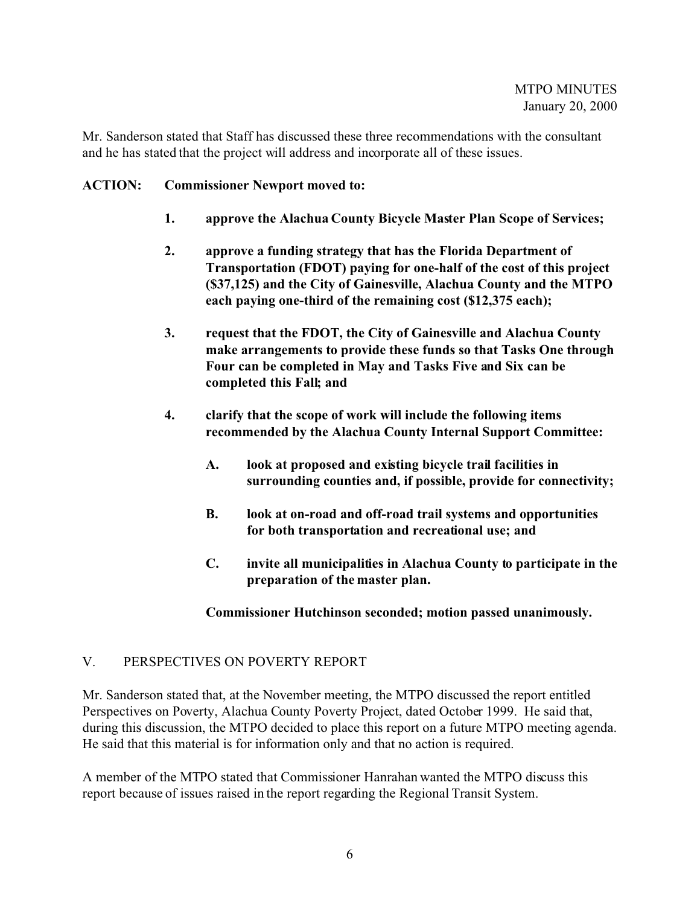Mr. Sanderson stated that Staff has discussed these three recommendations with the consultant and he has stated that the project will address and incorporate all of these issues.

### **ACTION: Commissioner Newport moved to:**

- **1. approve the Alachua County Bicycle Master Plan Scope of Services;**
- **2. approve a funding strategy that has the Florida Department of Transportation (FDOT) paying for one-half of the cost of this project (\$37,125) and the City of Gainesville, Alachua County and the MTPO each paying one-third of the remaining cost (\$12,375 each);**
- **3. request that the FDOT, the City of Gainesville and Alachua County make arrangements to provide these funds so that Tasks One through Four can be completed in May and Tasks Five and Six can be completed this Fall; and**
- **4. clarify that the scope of work will include the following items recommended by the Alachua County Internal Support Committee:**
	- **A. look at proposed and existing bicycle trail facilities in surrounding counties and, if possible, provide for connectivity;**
	- **B. look at on-road and off-road trail systems and opportunities for both transportation and recreational use; and**
	- **C. invite all municipalities in Alachua County to participate in the preparation of the master plan.**

**Commissioner Hutchinson seconded; motion passed unanimously.**

### V. PERSPECTIVES ON POVERTY REPORT

Mr. Sanderson stated that, at the November meeting, the MTPO discussed the report entitled Perspectives on Poverty, Alachua County Poverty Project, dated October 1999. He said that, during this discussion, the MTPO decided to place this report on a future MTPO meeting agenda. He said that this material is for information only and that no action is required.

A member of the MTPO stated that Commissioner Hanrahan wanted the MTPO discuss this report because of issues raised in the report regarding the Regional Transit System.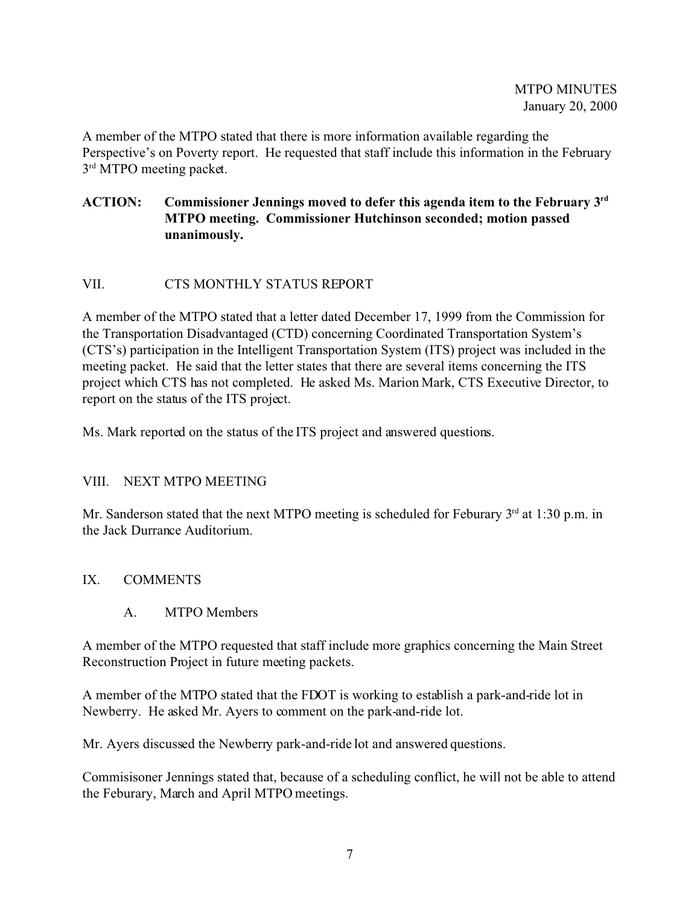A member of the MTPO stated that there is more information available regarding the Perspective's on Poverty report. He requested that staff include this information in the February 3<sup>rd</sup> MTPO meeting packet.

## **ACTION: Commissioner Jennings moved to defer this agenda item to the February 3rd MTPO meeting. Commissioner Hutchinson seconded; motion passed unanimously.**

# VII. CTS MONTHLY STATUS REPORT

A member of the MTPO stated that a letter dated December 17, 1999 from the Commission for the Transportation Disadvantaged (CTD) concerning Coordinated Transportation System's (CTS's) participation in the Intelligent Transportation System (ITS) project was included in the meeting packet. He said that the letter states that there are several items concerning the ITS project which CTS has not completed. He asked Ms. Marion Mark, CTS Executive Director, to report on the status of the ITS project.

Ms. Mark reported on the status of the ITS project and answered questions.

### VIII. NEXT MTPO MEETING

Mr. Sanderson stated that the next MTPO meeting is scheduled for Feburary  $3<sup>rd</sup>$  at 1:30 p.m. in the Jack Durrance Auditorium.

#### IX. COMMENTS

A. MTPO Members

A member of the MTPO requested that staff include more graphics concerning the Main Street Reconstruction Project in future meeting packets.

A member of the MTPO stated that the FDOT is working to establish a park-and-ride lot in Newberry. He asked Mr. Ayers to comment on the park-and-ride lot.

Mr. Ayers discussed the Newberry park-and-ride lot and answered questions.

Commisisoner Jennings stated that, because of a scheduling conflict, he will not be able to attend the Feburary, March and April MTPO meetings.